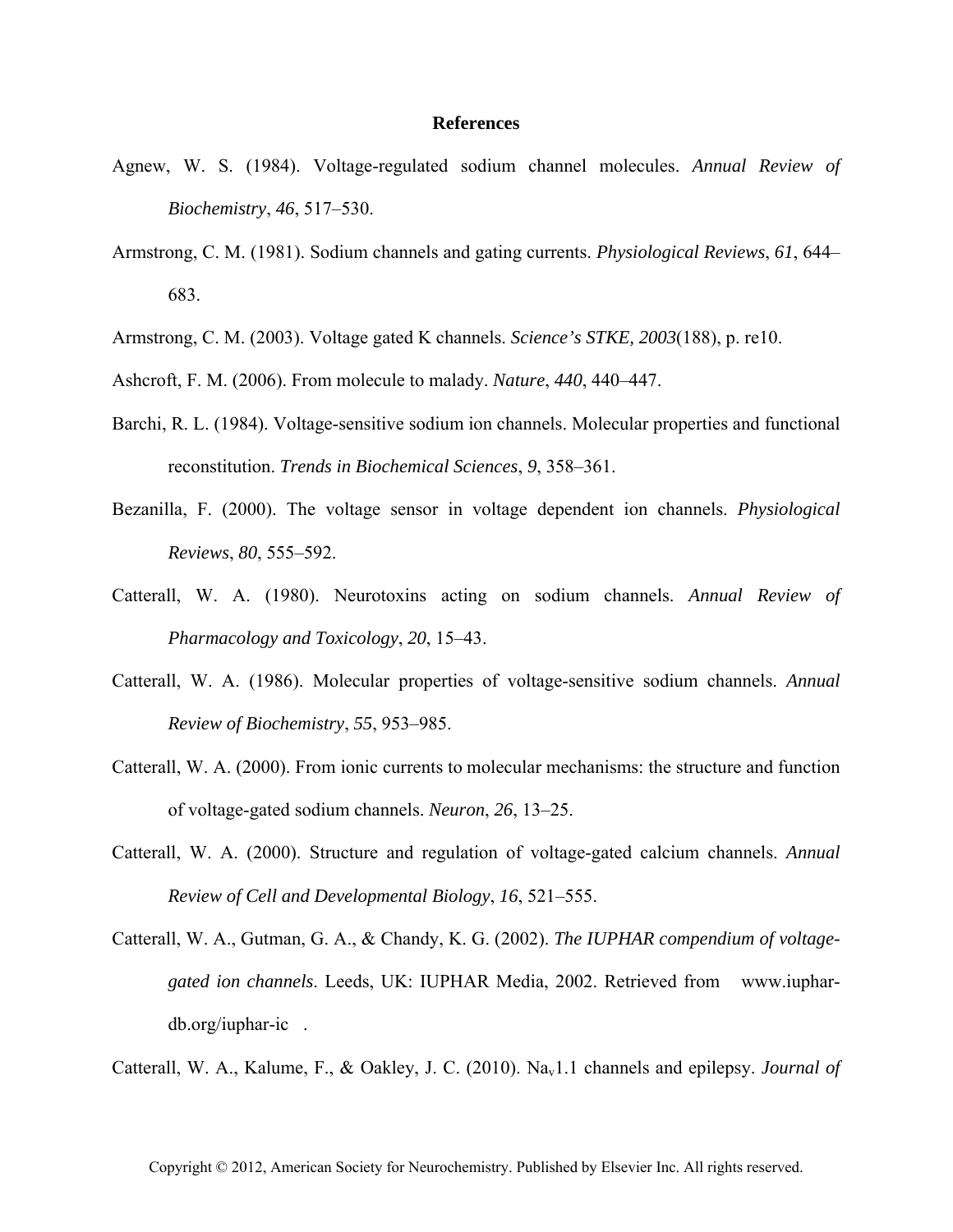## **References**

- Agnew, W. S. (1984). Voltage-regulated sodium channel molecules. *Annual Review of Biochemistry*, *46*, 517–530.
- Armstrong, C. M. (1981). Sodium channels and gating currents. *Physiological Reviews*, *61*, 644– 683.
- Armstrong, C. M. (2003). Voltage gated K channels. *Science's STKE, 2003*(188), p. re10.
- Ashcroft, F. M. (2006). From molecule to malady. *Nature*, *440*, 440–447.
- Barchi, R. L. (1984). Voltage-sensitive sodium ion channels. Molecular properties and functional reconstitution. *Trends in Biochemical Sciences*, *9*, 358–361.
- Bezanilla, F. (2000). The voltage sensor in voltage dependent ion channels. *Physiological Reviews*, *80*, 555–592.
- Catterall, W. A. (1980). Neurotoxins acting on sodium channels. *Annual Review of Pharmacology and Toxicology*, *20*, 15–43.
- Catterall, W. A. (1986). Molecular properties of voltage-sensitive sodium channels. *Annual Review of Biochemistry*, *55*, 953–985.
- Catterall, W. A. (2000). From ionic currents to molecular mechanisms: the structure and function of voltage-gated sodium channels. *Neuron*, *26*, 13–25.
- Catterall, W. A. (2000). Structure and regulation of voltage-gated calcium channels. *Annual Review of Cell and Developmental Biology*, *16*, 521–555.
- Catterall, W. A., Gutman, G. A., & Chandy, K. G. (2002). *The IUPHAR compendium of voltagegated ion channels*. Leeds, UK: IUPHAR Media, 2002. Retrieved from www.iuphardb.org/iuphar-ic.

Catterall, W. A., Kalume, F., & Oakley, J. C. (2010). Na<sub>v</sub>1.1 channels and epilepsy. *Journal of*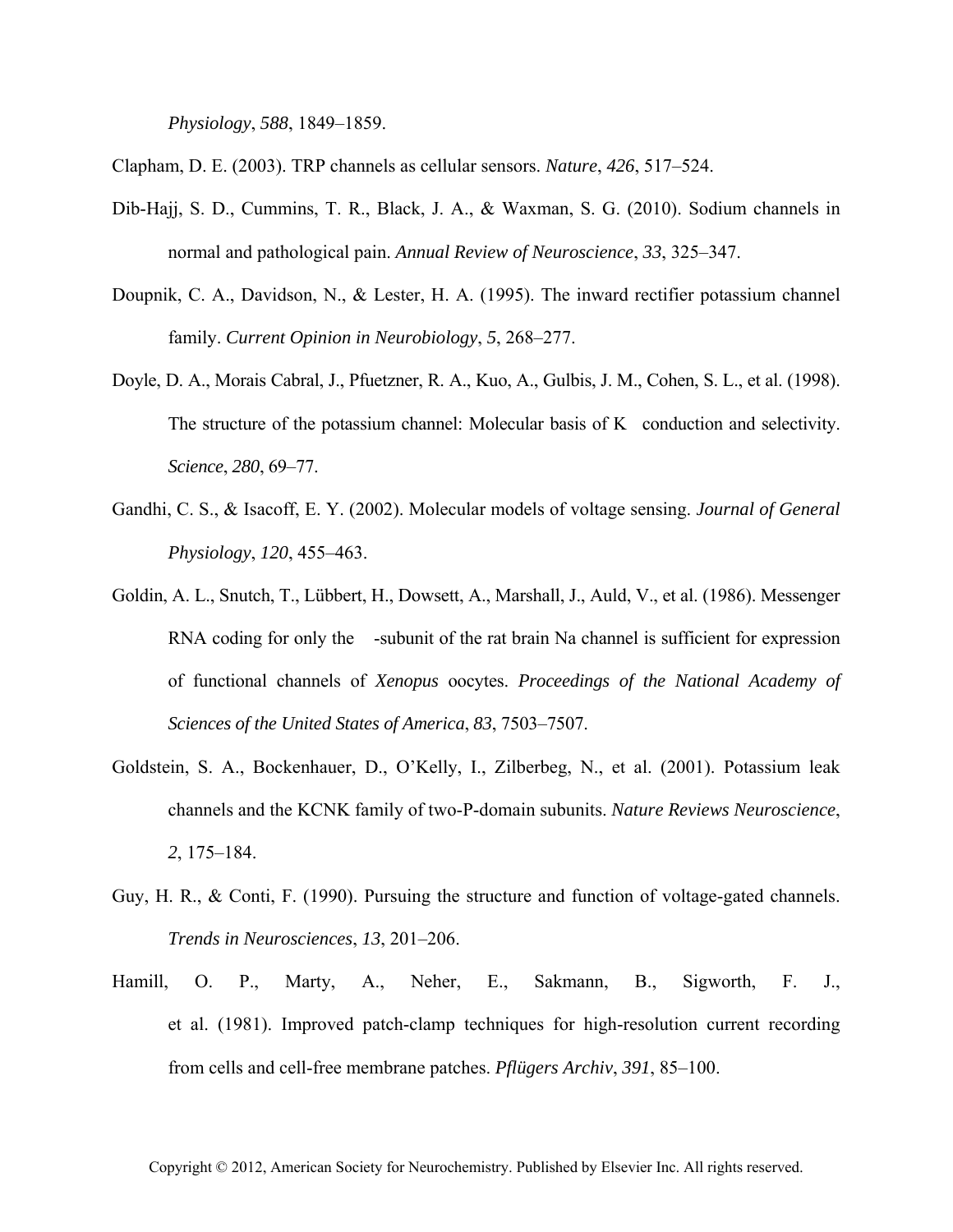*Physiology*, *588*, 1849–1859.

Clapham, D. E. (2003). TRP channels as cellular sensors. *Nature*, *426*, 517–524.

- Dib-Hajj, S. D., Cummins, T. R., Black, J. A., & Waxman, S. G. (2010). Sodium channels in normal and pathological pain. *Annual Review of Neuroscience*, *33*, 325–347.
- Doupnik, C. A., Davidson, N., & Lester, H. A. (1995). The inward rectifier potassium channel family. *Current Opinion in Neurobiology*, *5*, 268–277.
- Doyle, D. A., Morais Cabral, J., Pfuetzner, R. A., Kuo, A., Gulbis, J. M., Cohen, S. L., et al. (1998). The structure of the potassium channel: Molecular basis of K conduction and selectivity. *Science*, *280*, 69–77.
- Gandhi, C. S., & Isacoff, E. Y. (2002). Molecular models of voltage sensing. *Journal of General Physiology*, *120*, 455–463.
- Goldin, A. L., Snutch, T., Lübbert, H., Dowsett, A., Marshall, J., Auld, V., et al. (1986). Messenger RNA coding for only the -subunit of the rat brain Na channel is sufficient for expression of functional channels of *Xenopus* oocytes. *Proceedings of the National Academy of Sciences of the United States of America*, *83*, 7503–7507.
- Goldstein, S. A., Bockenhauer, D., O'Kelly, I., Zilberbeg, N., et al. (2001). Potassium leak channels and the KCNK family of two-P-domain subunits. *Nature Reviews Neuroscience*, *2*, 175–184.
- Guy, H. R., & Conti, F. (1990). Pursuing the structure and function of voltage-gated channels. *Trends in Neurosciences*, *13*, 201–206.
- Hamill, O. P., Marty, A., Neher, E., Sakmann, B., Sigworth, F. J., et al. (1981). Improved patch-clamp techniques for high-resolution current recording from cells and cell-free membrane patches. *Pflügers Archiv*, *391*, 85–100.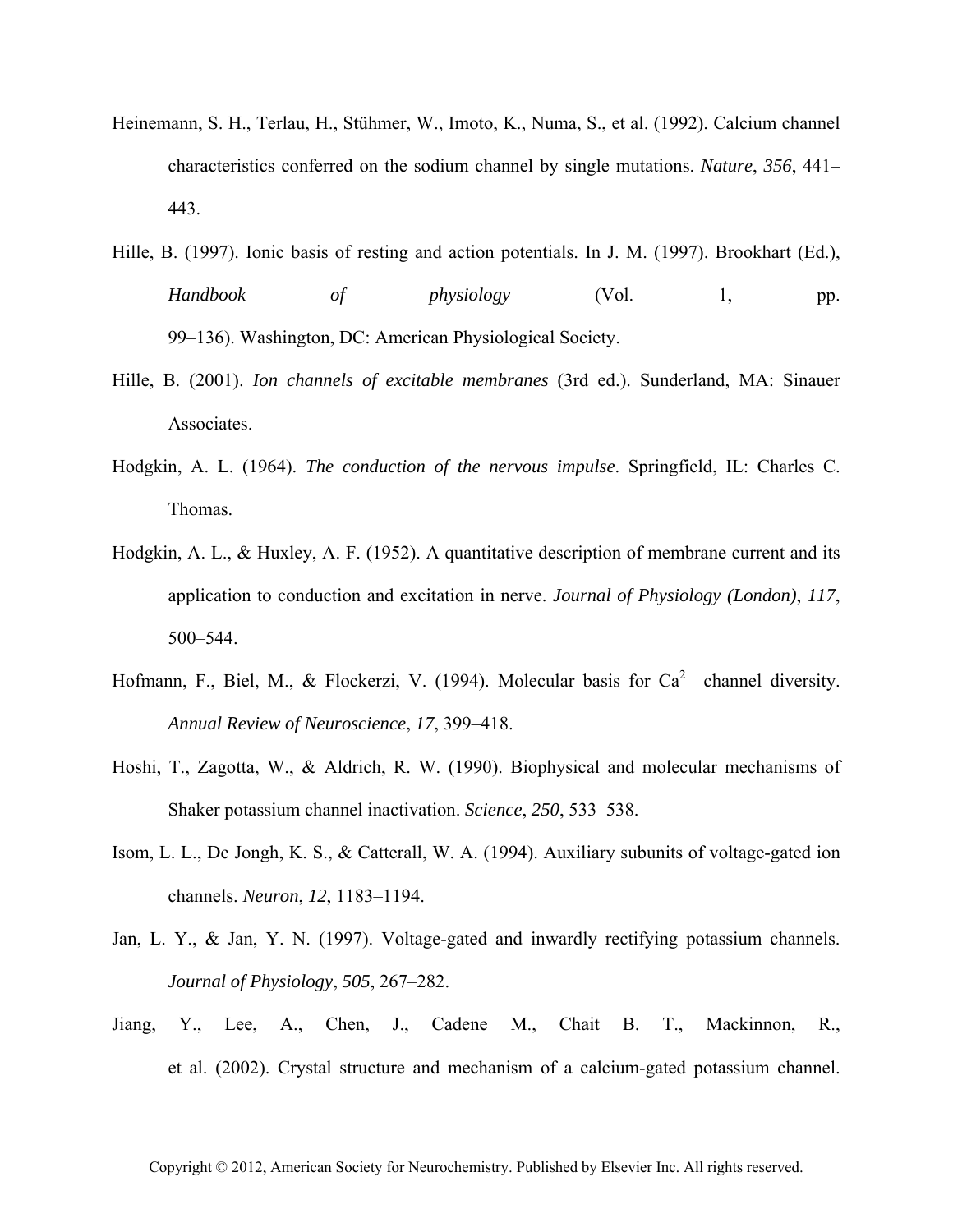- Heinemann, S. H., Terlau, H., Stühmer, W., Imoto, K., Numa, S., et al. (1992). Calcium channel characteristics conferred on the sodium channel by single mutations. *Nature*, *356*, 441– 443.
- Hille, B. (1997). Ionic basis of resting and action potentials. In J. M. (1997). Brookhart (Ed.), *Handbook of physiology* (Vol. 1, pp. 99–136). Washington, DC: American Physiological Society.
- Hille, B. (2001). *Ion channels of excitable membranes* (3rd ed.). Sunderland, MA: Sinauer Associates.
- Hodgkin, A. L. (1964). *The conduction of the nervous impulse*. Springfield, IL: Charles C. Thomas.
- Hodgkin, A. L., & Huxley, A. F. (1952). A quantitative description of membrane current and its application to conduction and excitation in nerve. *Journal of Physiology (London)*, *117*, 500–544.
- Hofmann, F., Biel, M., & Flockerzi, V. (1994). Molecular basis for  $Ca^2$  channel diversity. *Annual Review of Neuroscience*, *17*, 399–418.
- Hoshi, T., Zagotta, W., & Aldrich, R. W. (1990). Biophysical and molecular mechanisms of Shaker potassium channel inactivation. *Science*, *250*, 533–538.
- Isom, L. L., De Jongh, K. S., & Catterall, W. A. (1994). Auxiliary subunits of voltage-gated ion channels. *Neuron*, *12*, 1183–1194.
- Jan, L. Y., & Jan, Y. N. (1997). Voltage-gated and inwardly rectifying potassium channels. *Journal of Physiology*, *505*, 267–282.
- Jiang, Y., Lee, A., Chen, J., Cadene M., Chait B. T., Mackinnon, R., et al. (2002). Crystal structure and mechanism of a calcium-gated potassium channel.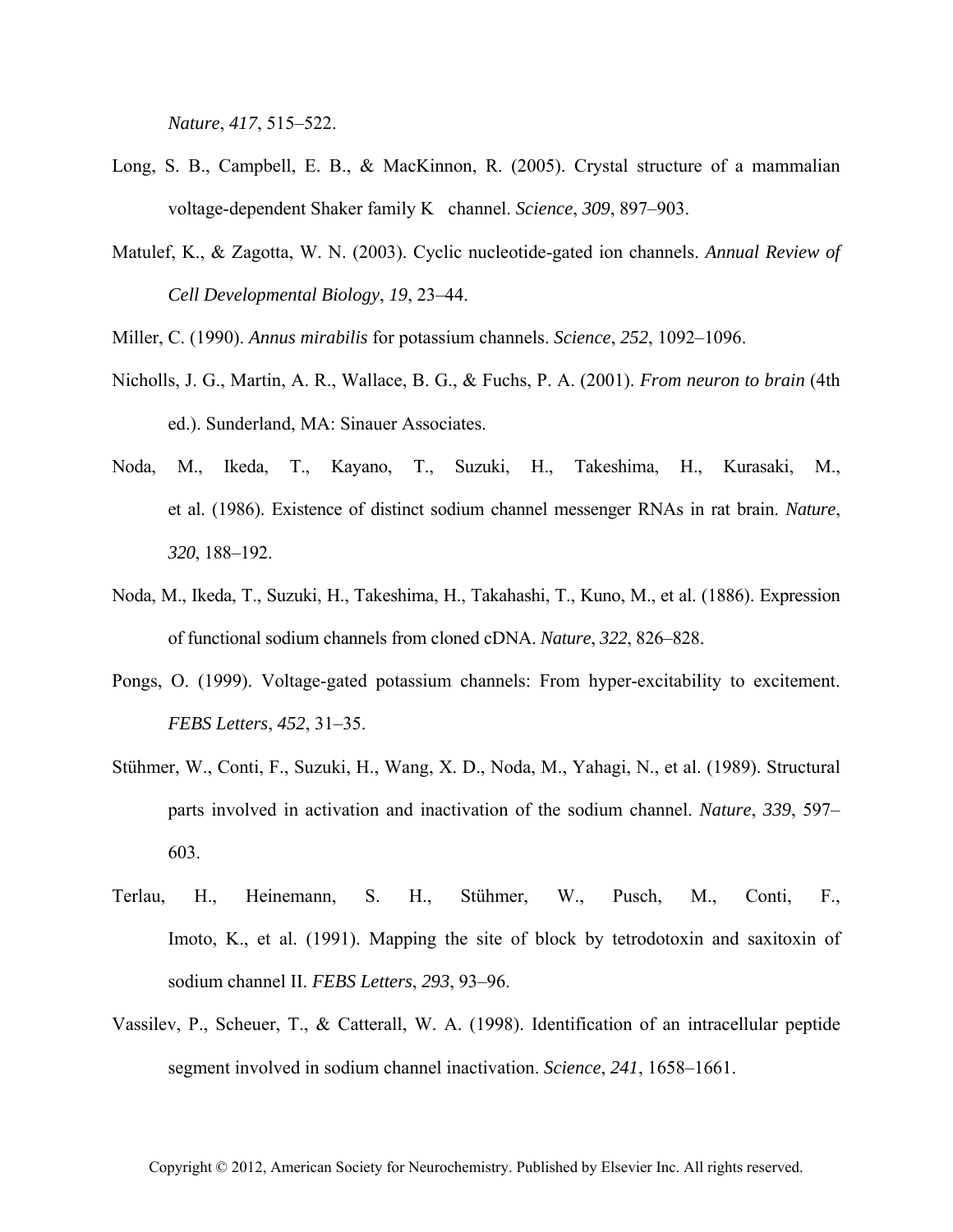*Nature*, *417*, 515–522.

- Long, S. B., Campbell, E. B., & MacKinnon, R. (2005). Crystal structure of a mammalian voltage-dependent Shaker family K channel. *Science*, *309*, 897–903.
- Matulef, K., & Zagotta, W. N. (2003). Cyclic nucleotide-gated ion channels. *Annual Review of Cell Developmental Biology*, *19*, 23–44.
- Miller, C. (1990). *Annus mirabilis* for potassium channels. *Science*, *252*, 1092–1096.
- Nicholls, J. G., Martin, A. R., Wallace, B. G., & Fuchs, P. A. (2001). *From neuron to brain* (4th ed.). Sunderland, MA: Sinauer Associates.
- Noda, M., Ikeda, T., Kayano, T., Suzuki, H., Takeshima, H., Kurasaki, M., et al. (1986). Existence of distinct sodium channel messenger RNAs in rat brain. *Nature*, *320*, 188–192.
- Noda, M., Ikeda, T., Suzuki, H., Takeshima, H., Takahashi, T., Kuno, M., et al. (1886). Expression of functional sodium channels from cloned cDNA. *Nature*, *322*, 826–828.
- Pongs, O. (1999). Voltage-gated potassium channels: From hyper-excitability to excitement. *FEBS Letters*, *452*, 31–35.
- Stühmer, W., Conti, F., Suzuki, H., Wang, X. D., Noda, M., Yahagi, N., et al. (1989). Structural parts involved in activation and inactivation of the sodium channel. *Nature*, *339*, 597– 603.
- Terlau, H., Heinemann, S. H., Stühmer, W., Pusch, M., Conti, F., Imoto, K., et al. (1991). Mapping the site of block by tetrodotoxin and saxitoxin of sodium channel II. *FEBS Letters*, *293*, 93–96.
- Vassilev, P., Scheuer, T., & Catterall, W. A. (1998). Identification of an intracellular peptide segment involved in sodium channel inactivation. *Science*, *241*, 1658–1661.